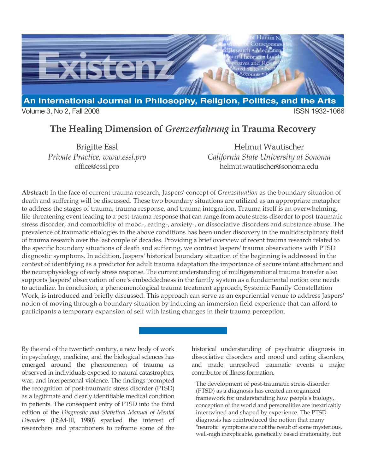

**The Healing Dimension of** *Grenzerfahrung* **in Trauma Recovery**

Brigitte Essl *Private Practice, www.essl.pro* office@essl.pro

Helmut Wautischer *California State University at Sonoma* helmut.wautischer@sonoma.edu

**Abstract:** In the face of current trauma research, Jaspers' concept of *Grenzsituation* as the boundary situation of death and suffering will be discussed. These two boundary situations are utilized as an appropriate metaphor to address the stages of trauma, trauma response, and trauma integration. Trauma itself is an overwhelming, life-threatening event leading to a post-trauma response that can range from acute stress disorder to post-traumatic stress disorder, and comorbidity of mood-, eating-, anxiety-, or dissociative disorders and substance abuse. The prevalence of traumatic etiologies in the above conditions has been under discovery in the multidisciplinary field of trauma research over the last couple of decades. Providing a brief overview of recent trauma research related to the specific boundary situations of death and suffering, we contrast Jaspers' trauma observations with PTSD diagnostic symptoms. In addition, Jaspers' historical boundary situation of the beginning is addressed in the context of identifying as a predictor for adult trauma adaptation the importance of secure infant attachment and the neurophysiology of early stress response. The current understanding of multigenerational trauma transfer also supports Jaspers' observation of one's embeddedness in the family system as a fundamental notion one needs to actualize. In conclusion, a phenomenological trauma treatment approach, Systemic Family Constellation Work, is introduced and briefly discussed. This approach can serve as an experiential venue to address Jaspers' notion of moving through a boundary situation by inducing an immersion field experience that can afford to participants a temporary expansion of self with lasting changes in their trauma perception.

By the end of the twentieth century, a new body of work in psychology, medicine, and the biological sciences has emerged around the phenomenon of trauma as observed in individuals exposed to natural catastrophes, war, and interpersonal violence. The findings prompted the recognition of post-traumatic stress disorder (PTSD) as a legitimate and clearly identifiable medical condition in patients. The consequent entry of PTSD into the third edition of the *Diagnostic and Statistical Manual of Mental Disorders* (DSM-III, 1980) sparked the interest of researchers and practitioners to reframe some of the historical understanding of psychiatric diagnosis in dissociative disorders and mood and eating disorders, and made unresolved traumatic events a major contributor of illness formation.

The development of post-traumatic stress disorder (PTSD) as a diagnosis has created an organized framework for understanding how people's biology, conception of the world and personalities are inextricably intertwined and shaped by experience. The PTSD diagnosis has reintroduced the notion that many "neurotic" symptoms are not the result of some mysterious, well-nigh inexplicable, genetically based irrationality, but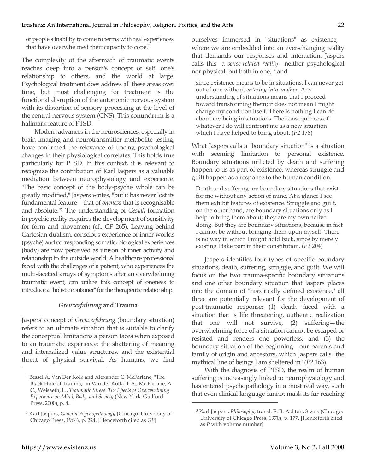of people's inability to come to terms with real experiences that have overwhelmed their capacity to cope.<sup>1</sup>

The complexity of the aftermath of traumatic events reaches deep into a person's concept of self, one's relationship to others, and the world at large. Psychological treatment does address all these areas over time, but most challenging for treatment is the functional disruption of the autonomic nervous system with its distortion of sensory processing at the level of the central nervous system (CNS). This conundrum is a hallmark feature of PTSD.

Modern advances in the neurosciences, especially in brain imaging and neurotransmitter metabolite testing, have confirmed the relevance of tracing psychological changes in their physiological correlates. This holds true particularly for PTSD. In this context, it is relevant to recognize the contribution of Karl Jaspers as a valuable mediation between neurophysiology and experience. "The basic concept of the body-psyche whole can be greatly modified," Jaspers writes, "but it has never lost its fundamental feature—that of *onenes*s that is recognisable and absolute."2 The understanding of *Gestalt*-formation in psychic reality requires the development of sensitivity for form and movement (cf., *GP* 265). Leaving behind Cartesian dualism, conscious experience of inner worlds (psyche) and corresponding somatic, biological experiences (body) are now perceived as unison of inner activity and relationship to the outside world. A healthcare professional faced with the challenges of a patient, who experiences the multi-facetted arrays of symptoms after an overwhelming traumatic event, can utilize this concept of oneness to introduce a "holistic container" for the therapeutic relationship.

## *Grenzerfahrung* **and Trauma**

Jaspers' concept of *Grenzerfahrung* (boundary situation) refers to an ultimate situation that is suitable to clarify the conceptual limitations a person faces when exposed to an traumatic experience: the shattering of meaning and internalized value structures, and the existential threat of physical survival. As humans, we find

ourselves immersed in "situations" as existence, where we are embedded into an ever-changing reality that demands our responses and interaction. Jaspers calls this "a *sense-related reality*—neither psychological nor physical, but both in one,"3 and

since existence means to be in situations, I can never get out of one without *entering into another*. Any understanding of situations means that I proceed toward transforming them; it does not mean I might change my condition itself. There is nothing I can do about my being in situations. The consequences of whatever I do will confront me as a new situation which I have helped to bring about. (*P2* 178)

What Jaspers calls a "boundary situation" is a situation with seeming limitation to personal existence. Boundary situations inflicted by death and suffering happen to us as part of existence, whereas struggle and guilt happen as a response to the human condition.

Death and suffering are boundary situations that exist for me without any action of mine. At a glance I see them exhibit features of existence. Struggle and guilt, on the other hand, are boundary situations only as I help to bring them about; they are my own active doing. But they are boundary situations, because in fact I cannot be without bringing them upon myself. There is no way in which I might hold back, since by merely existing I take part in their constitution. (*P2* 204)

Jaspers identifies four types of specific boundary situations, death, suffering, struggle, and guilt. We will focus on the two trauma-specific boundary situations and one other boundary situation that Jaspers places into the domain of "historically defined existence," all three are potentially relevant for the development of post-traumatic response: (1) death—faced with a situation that is life threatening, authentic realization that one will not survive, (2) suffering—the overwhelming force of a situation cannot be escaped or resisted and renders one powerless, and (3) the boundary situation of the beginning—our parents and family of origin and ancestors, which Jaspers calls "the mythical line of beings I am sheltered in" (*P2* 163).

With the diagnosis of PTSD, the realm of human suffering is increasingly linked to neurophysiology and has entered psychopathology in a most real way, such that even clinical language cannot mask its far-reaching

 $\overline{a}$ 

-

<sup>1</sup> Bessel A. Van Der Kolk and Alexander C. McFarlane, "The Black Hole of Trauma," in Van der Kolk, B. A., Mc Farlane, A. C., Weisaeth, L., *Traumatic Stress. The Effects of Overwhelming Experience on Mind, Body, and Society* (New York: Guilford Press, 2000), p. 4.

<sup>2</sup> Karl Jaspers, *General Psychopathology* (Chicago: University of Chicago Press, 1964), p. 224. [Henceforth cited as *GP*]

<sup>3</sup> Karl Jaspers, *Philosophy*, transl. E. B. Ashton, 3 vols (Chicago: University of Chicago Press, 1970), p. 177. [Henceforth cited as *P* with volume number]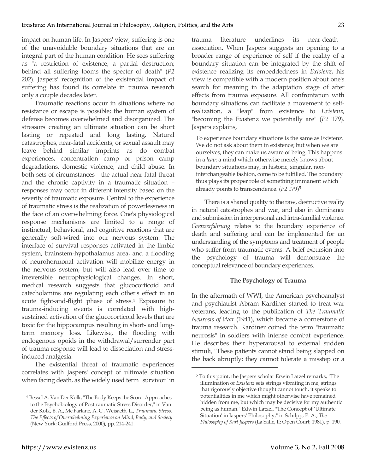impact on human life. In Jaspers' view, suffering is one of the unavoidable boundary situations that are an integral part of the human condition. He sees suffering as "a restriction of existence, a partial destruction; behind all suffering looms the specter of death" (*P2* 202). Jaspers' recognition of the existential impact of suffering has found its correlate in trauma research only a couple decades later.

Traumatic reactions occur in situations where no resistance or escape is possible; the human system of defense becomes overwhelmed and disorganized. The stressors creating an ultimate situation can be short lasting or repeated and long lasting. Natural catastrophes, near-fatal accidents, or sexual assault may leave behind similar imprints as do combat experiences, concentration camp or prison camp degradations, domestic violence, and child abuse. In both sets of circumstances—the actual near fatal-threat and the chronic captivity in a traumatic situation – responses may occur in different intensity based on the severity of traumatic exposure. Central to the experience of traumatic stress is the realization of powerlessness in the face of an overwhelming force. One's physiological response mechanisms are limited to a range of instinctual, behavioral, and cognitive reactions that are generally soft-wired into our nervous system. The interface of survival responses activated in the limbic system, brainstem-hypothalamus area, and a flooding of neurohormonal activation will mobilize energy in the nervous system, but will also lead over time to irreversible neurophysiological changes. In short, medical research suggests that glucocorticoid and catecholamins are regulating each other's effect in an acute fight-and-flight phase of stress.4 Exposure to trauma-inducing events is correlated with highsustained activation of the glucocorticoid levels that are toxic for the hippocampus resulting in short- and longterm memory loss. Likewise, the flooding with endogenous opoids in the withdrawal/surrender part of trauma response will lead to dissociation and stressinduced analgesia.

The existential threat of traumatic experiences correlates with Jaspers' concept of ultimate situation when facing death, as the widely used term "survivor" in trauma literature underlines its near-death association. When Jaspers suggests an opening to a broader range of experience of self if the reality of a boundary situation can be integrated by the shift of existence realizing its embeddedness in *Existenz*, his view is compatible with a modern position about one's search for meaning in the adaptation stage of after effects from trauma exposure. All confrontation with boundary situations can facilitate a movement to selfrealization, a "leap" from existence to *Existenz*, "becoming the Existenz we potentially are" (*P2* 179). Jaspers explains,

To experience boundary situations is the same as Existenz. We do not ask about them in existence; but when we are ourselves, they can make us aware of being. This happens in a *leap*: a mind which otherwise merely knows about boundary situations may, in historic, singular, noninterchangeable fashion, come to be fulfilled. The boundary thus plays its proper role of something immanent which already points to transcendence. (*P2* 179)5

There is a shared quality to the raw, destructive reality in natural catastrophes and war, and also in dominance and submission in interpersonal and intra-familial violence. *Grenzerfahrung* relates to the boundary experience of death and suffering and can be implemented for an understanding of the symptoms and treatment of people who suffer from traumatic events. A brief excursion into the psychology of trauma will demonstrate the conceptual relevance of boundary experiences.

## **The Psychology of Trauma**

In the aftermath of WWI, the American psychoanalyst and psychiatrist Abram Kardiner started to treat war veterans, leading to the publication of *The Traumatic Neurosis of War* (1941), which became a cornerstone of trauma research. Kardiner coined the term "traumatic neurosis" in soldiers with intense combat experience. He describes their hyperarousal to external sudden stimuli, "These patients cannot stand being slapped on the back abruptly; they cannot tolerate a misstep or a

 $\overline{a}$ 

-

<sup>4</sup> Bessel A. Van Der Kolk, "The Body Keeps the Score: Approaches to the Psychobiology of Posttraumatic Stress Disorder," in Van der Kolk, B. A., Mc Farlane, A. C., Weisaeth, L., *Traumatic Stress. The Effects of Overwhelming Experience on Mind, Body, and Society* (New York: Guilford Press, 2000), pp. 214-241.

<sup>5</sup> To this point, the Jaspers scholar Erwin Latzel remarks, "The illumination of *Existenz* sets strings vibrating in me, strings that rigorously objective thought cannot touch, it speaks to potentialities in me which might otherwise have remained hidden from me, but which may be decisive for my authentic being as human." Edwin Latzel, "The Concept of 'Ultimate Situation' in Jaspers' Philosophy," in Schilpp, P. A., *The Philosophy of Karl Jaspers* (La Salle, Il: Open Court, 1981), p. 190.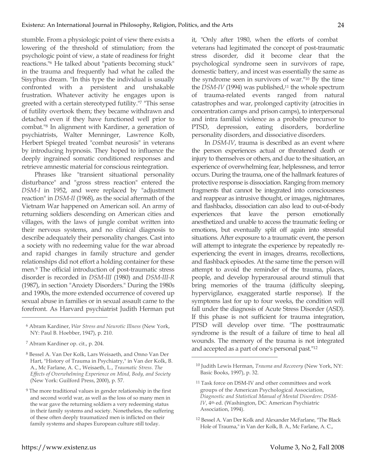stumble. From a physiologic point of view there exists a lowering of the threshold of stimulation; from the psychologic point of view, a state of readiness for fright reactions."6 He talked about "patients becoming stuck" in the trauma and frequently had what he called the Sisyphus dream. "In this type the individual is usually confronted with a persistent and unshakable frustration. Whatever activity he engages upon is greeted with a certain stereotyped futility."7 "This sense of futility overtook them; they became withdrawn and detached even if they have functioned well prior to combat."8 In alignment with Kardiner, a generation of psychiatrists, Walter Menninger, Lawrence Kolb, Herbert Spiegel treated "combat neurosis" in veterans by introducing hypnosis. They hoped to influence the deeply ingrained somatic conditioned responses and retrieve amnestic material for conscious reintegration.

Phrases like "transient situational personality disturbance" and "gross stress reaction" entered the *DSM-I* in 1952, and were replaced by "adjustment reaction" in *DSM-II* (1968), as the social aftermath of the Vietnam War happened on American soil. An army of returning soldiers descending on American cities and villages, with the laws of jungle combat written into their nervous systems, and no clinical diagnosis to describe adequately their personality changes. Cast into a society with no redeeming value for the war abroad and rapid changes in family structure and gender relationships did not effort a holding container for these men.9 The official introduction of post-traumatic stress disorder is recorded in *DSM-III* (1980) and *DSM-III-R* (1987), in section "Anxiety Disorders." During the 1980s and 1990s, the more extended occurrence of covered up sexual abuse in families or in sexual assault came to the forefront. As Harvard psychiatrist Judith Herman put

7 Abram Kardiner op. cit., p. 204.

**.** 

<sup>8</sup> Bessel A. Van Der Kolk, Lars Weisaeth, and Onno Van Der Hart, "History of Trauma in Psychiatry," in Van der Kolk, B. A., Mc Farlane, A. C., Weisaeth, L., *Traumatic Stress. The Effects of Overwhelming Experience on Mind, Body, and Society* (New York: Guilford Press, 2000), p. 57.

it, "Only after 1980, when the efforts of combat veterans had legitimated the concept of post-traumatic stress disorder, did it become clear that the psychological syndrome seen in survivors of rape, domestic battery, and incest was essentially the same as the syndrome seen in survivors of war."10 By the time the *DSM-IV* (1994) was published,<sup>11</sup> the whole spectrum of trauma-related events ranged from natural catastrophes and war, prolonged captivity (atrocities in concentration camps and prison camps), to interpersonal and intra familial violence as a probable precursor to PTSD, depression, eating disorders, borderline personality disorders, and dissociative disorders.

In *DSM-IV*, trauma is described as an event where the person experiences actual or threatened death or injury to themselves or others, and due to the situation, an experience of overwhelming fear, helplessness, and terror occurs. During the trauma, one of the hallmark features of protective response is dissociation. Ranging from memory fragments that cannot be integrated into consciousness and reappear as intrusive thought, or images, nightmares, and flashbacks, dissociation can also lead to out-of-body experiences that leave the person emotionally anesthetized and unable to access the traumatic feeling or emotions, but eventually split off again into stressful situations. After exposure to a traumatic event, the person will attempt to integrate the experience by repeatedly reexperiencing the event in images, dreams, recollections, and flashback episodes. At the same time the person will attempt to avoid the reminder of the trauma, places, people, and develop hyperarousal around stimuli that bring memories of the trauma (difficulty sleeping, hypervigilance, exaggerated startle response). If the symptoms last for up to four weeks, the condition will fall under the diagnosis of Acute Stress Disorder (ASD). If this phase is not sufficient for trauma integration, PTSD will develop over time. "The posttraumatic syndrome is the result of a failure of time to heal all wounds. The memory of the trauma is not integrated and accepted as a part of one's personal past."12

 $\overline{a}$ 

<sup>6</sup> Abram Kardiner, *War Stress and Neurotic Illness* (New York, NY: Paul B. Hoebber, 1947), p. 210.

<sup>9</sup> The more traditional values in gender relationship in the first and second world war, as well as the loss of so many men in the war gave the returning soldiers a very redeeming status in their family systems and society. Nonetheless, the suffering of these often deeply traumatized men is inflicted on their family systems and shapes European culture still today.

<sup>10</sup> Judith Lewis Herman, *Trauma and Recovery* (New York, NY: Basic Books, 1997), p. 32.

<sup>11</sup> Task force on DSM-IV and other committees and work groups of the American Psychological Association, *Diagnostic and Statistical Manual of Mental Disorders: DSM-IV*, 4th ed. (Washington, DC: American Psychiatric Association, 1994).

<sup>12</sup> Bessel A. Van Der Kolk and Alexander McFarlane, "The Black Hole of Trauma," in Van der Kolk, B. A., Mc Farlane, A. C.,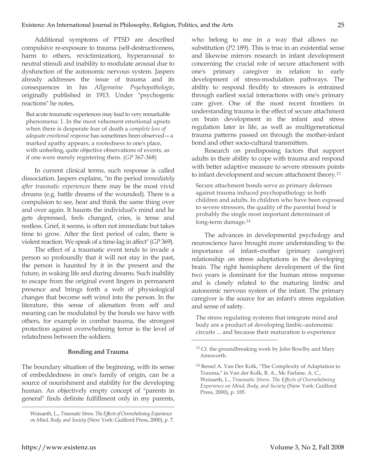Additional symptoms of PTSD are described compulsive re-exposure to trauma (self-destructiveness, harm to others, revictimization), hyperarousal to neutral stimuli and inability to modulate arousal due to dysfunction of the autonomic nervous system. Jaspers already addresses the issue of trauma and its consequences in his *Allgemeine Psychopathologie*, originally published in 1913. Under "psychogenic reactions" he notes,

But acute traumatic experiences may lead to very remarkable phenomena: 1. In the most vehement emotional upsets when there is desperate fear of death a *complete loss of adequate emotional response* has sometimes been observed—a marked apathy appears, a rootedness to one's place, with unfeeling, quite objective observations of events, as if one were merely registering them. (*GP* 367-368)

In current clinical terms, such response is called dissociation. Jaspers explains, "in the period *immediately after traumatic experiences* there may be the most vivid dreams (e.g. battle dreams of the wounded). There is a compulsion to see, hear and think the same thing over and over again. It haunts the individual's mind and he gets depressed, feels changed, cries, is tense and restless. Grief, it seems, is often not immediate but takes time to grow. After the first period of calm, there is violent reaction. We speak of a time-lag in affect" (*GP* 369).

The effect of a traumatic event tends to invade a person so profoundly that it will not stay in the past, the person is haunted by it in the present and the future, in waking life and during dreams. Such inability to escape from the original event lingers in permanent presence and brings forth a web of physiological changes that become soft wired into the person. In the literature, this sense of alienation from self and meaning can be modulated by the bonds we have with others, for example in combat trauma, the strongest protection against overwhelming terror is the level of relatedness between the soldiers.

## **Bonding and Trauma**

The boundary situation of the beginning, with its sense of embeddedness in one's family of origin, can be a source of nourishment and stability for the developing human. An objectively empty concept of "parents in general" finds definite fulfillment only in my parents, who belong to me in a way that allows no substitution (*P2* 189). This is true in an existential sense and likewise mirrors research in infant development concerning the crucial role of secure attachment with one's primary caregiver in relation to early development of stress-modulation pathways. The ability to respond flexibly to stressors is entrained through earliest social interactions with one's primary care giver. One of the most recent frontiers in understanding trauma is the effect of secure attachment on brain development in the infant and stress regulation later in life, as well as multigenerational trauma patterns passed on through the mother-infant bond and other socio-cultural transmitters.

Research on predisposing factors that support adults in their ability to cope with trauma and respond with better adaptive measure to severe stressors points to infant development and secure attachment theory.13

Secure attachment bonds serve as primary defenses against trauma induced psychopathology in both children and adults. In children who have been exposed to severe stressors, the quality of the parental bond is probably the single most important determinant of long-term damage.14

The advances in developmental psychology and neuroscience have brought more understanding to the importance of infant–mother (primary caregiver) relationship on stress adaptations in the developing brain. The right hemisphere development of the first two years is dominant for the human stress response and is closely related to the maturing limbic and autonomic nervous system of the infant. The primary caregiver is the source for an infant's stress regulation and sense of safety.

The stress regulating systems that integrate mind and body are a product of developing limbic–autonomic circuits ... and because their maturation is experience

 $\overline{a}$ 

 $\overline{a}$ 

Weisaeth, L., *Traumatic Stress. The Effects of Overwhelming Experience on Mind, Body, and Society* (New York: Guilford Press, 2000), p. 7.

<sup>13</sup> Cf. the groundbreaking work by John Bowlby and Mary Ainsworth.

<sup>14</sup> Bessel A. Van Der Kolk, "The Complexity of Adaptation to Trauma," in Van der Kolk, B. A., Mc Farlane, A. C., Weisaeth, L., *Traumatic Stress. The Effects of Overwhelming Experience on Mind, Body, and Society* (New York: Guilford Press, 2000), p. 185.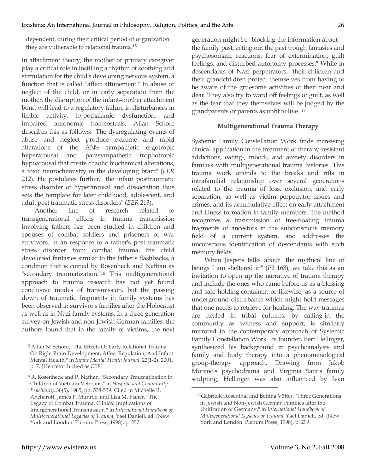dependent, during their critical period of organization they are vulnerable to relational trauma.15

In attachment theory, the mother or primary caregiver play a critical role in instilling a rhythm of soothing and stimulation for the child's developing nervous system, a function that is called "affect attunement." In abuse or neglect of the child, or in early separation from the mother, the disruption of the infant–mother attachment bond will lead to a regulatory failure in disturbances in limbic activity, hypothalamic dysfunction, and impaired autonomic homeostasis. Allan Schore describes this as follows: "The dysregulating events of abuse and neglect produce extreme and rapid alterations of the ANS sympathetic ergotropic hyperarousal and parasympathetic trophotropic hypoarousal that create chaotic biochemical alterations, a toxic neurochemistry in the developing brain" (*EER* 212). He postulates further, "the infant posttraumatic stress disorder of hyperarousal and dissociation thus sets the template for later childhood, adolescent, and adult post traumatic stress disorders" (*EER* 213).

Another line of research related to transgenerational effects in trauma transmission involving fathers has been studied in children and spouses of combat soldiers and prisoners of war survivors. In an response to a father's post traumatic stress disorder from combat trauma, the child developed fantasies similar to the father's flashbacks, a condition that is coined by Rosenheck and Nathan as "secondary traumatization."16 This multigenerational approach to trauma research has not yet found conclusive modes of transmission, but the passing down of traumatic fragments in family systems has been observed in survivor's families after the Holocaust as well as in Nazi family systems. In a three generation survey on Jewish and non-Jewish German families, the authors found that in the family of victims, the next generation might be "blocking the information about the family past, acting out the past trough fantasies and psychosomatic reactions, fear of extermination, guilt feelings, and disturbed autonomy processes." While in descendants of Nazi perpetrators, "their children and their grandchildren protect themselves from having to be aware of the gruesome activities of their near and dear. They also try to ward off feelings of guilt, as well as the fear that they themselves will be judged by the grandparents or parents as unfit to live."17

## **Multigenerational Trauma Therapy**

Systemic Family Constellation Work finds increasing clinical application in the treatment of therapy-resistant addictions, eating-, mood-, and anxiety disorders in families with multigenerational trauma histories. This trauma work attends to the breaks and rifts in intrafamilial relationship over several generations related to the trauma of loss, exclusion, and early separation, as well as victim–perpetrator issues and crimes, and its accumulative effect on early attachment and illness formation in family members. The method recognizes a transmission of free-floating trauma fragments of ancestors in the subconscious memory field of a current system, and addresses the unconscious identification of descendants with such memory fields.

When Jaspers talks about "the mythical line of beings I am sheltered in" (*P2* 163), we take this as an invitation to open up the narrative of trauma therapy and include the ones who came before us as a blessing and safe holding-container, or likewise, as a source of underground disturbance which might hold messages that one needs to retrieve for healing. The way traumas are healed in tribal cultures, by calling-in the community as witness and support, is similarly mirrored in the contemporary approach of Systemic Family Constellation Work. Its founder, Bert Hellinger, synthesized his background in psychoanalysis and family and body therapy into a phenomenological group-therapy approach. Drawing from Jakob Moreno's psychodrama and Virginia Satir's family sculpting, Hellinger was also influenced by Ivan

 $\overline{a}$ 

-

<sup>15</sup> Allan N. Schore, "The Effects Of Early Relational Trauma On Right Brain Development, Affect Regulation, And Infant Mental Health," in *Infant Mental Health Journal*, 22(1-2), 2001, p. 7. [Henceforth cited as *EER*]

<sup>16</sup> R. Rosenheck and P. Nathan, "Secondary Traumatization in Children of Vietnam Veterans," in *Hospital and Community Psychiatry*, 36(5), 1985, pp. 538-539. Cited in Michelle R. Ancharoff, James F. Munroe, and Lisa M. Fisher, "The Legacy of Combat Trauma. Clinical Implications of Intergenerational Transmission," in *International Handbook of Multigenerational Legacies of Trauma*, Yael Danieli, ed. (New York and London: Plenum Press, 1998), p. 257.

<sup>&</sup>lt;sup>17</sup> Gabrielle Rosenthal and Bettina Völter, "Three Generations in Jewish and Non-Jewish German Families after the Unification of Germany," in *International Handbook of Multigenerational Legacies of Trauma*, Yael Danieli, ed. (New York and London: Plenum Press, 1998), p. 299.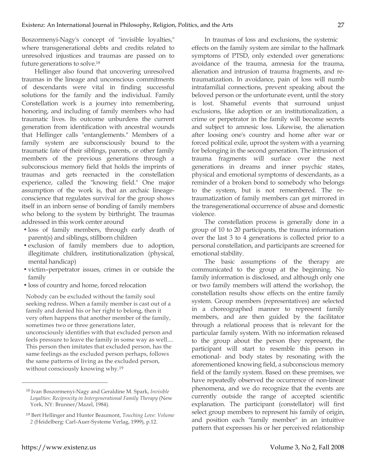Boszormenyi-Nagy's concept of "invisible loyalties," where transgenerational debts and credits related to unresolved injustices and traumas are passed on to future generations to solve.18

Hellinger also found that uncovering unresolved traumas in the lineage and unconscious commitments of descendants were vital in finding successful solutions for the family and the individual. Family Constellation work is a journey into remembering, honoring, and including of family members who had traumatic lives. Its outcome unburdens the current generation from identification with ancestral wounds that Hellinger calls "entanglements." Members of a family system are subconsciously bound to the traumatic fate of their siblings, parents, or other family members of the previous generations through a subconscious memory field that holds the imprints of traumas and gets reenacted in the constellation experience, called the "knowing field." One major assumption of the work is, that an archaic lineageconscience that regulates survival for the group shows itself in an inborn sense of bonding of family members who belong to the system by birthright. The traumas addressed in this work center around

- loss of family members, through early death of parent(s) and siblings, stillborn children
- exclusion of family members due to adoption, illegitimate children, institutionalization (physical, mental handicap)
- victim–perpetrator issues, crimes in or outside the family
- loss of country and home, forced relocation

Nobody can be excluded without the family soul seeking redress. When a family member is cast out of a family and denied his or her right to belong, then it very often happens that another member of the family, sometimes two or three generations later, unconsciously identifies with that excluded person and feels pressure to leave the family in some way as well.... This person then imitates that excluded person, has the same feelings as the excluded person perhaps, follows the same patterns of living as the excluded person, without consciously knowing why.19

In traumas of loss and exclusions, the systemic effects on the family system are similar to the hallmark symptoms of PTSD, only extended over generations: avoidance of the trauma, amnesia for the trauma, alienation and intrusion of trauma fragments, and retraumatization. In avoidance, pain of loss will numb intrafamilial connections, prevent speaking about the beloved person or the unfortunate event, until the story is lost. Shameful events that surround unjust exclusions, like adoption or an institutionalization, a crime or perpetrator in the family will become secrets and subject to amnesic loss. Likewise, the alienation after loosing one's country and home after war or forced political exile, uproot the system with a yearning for belonging in the second generation. The intrusion of trauma fragments will surface over the next generations in dreams and inner psychic states, physical and emotional symptoms of descendants, as a reminder of a broken bond to somebody who belongs to the system, but is not remembered. The retraumatization of family members can get mirrored in the transgenerational occurrence of abuse and domestic violence.

The constellation process is generally done in a group of 10 to 20 participants, the trauma information over the last 3 to 4 generations is collected prior to a personal constellation, and participants are screened for emotional stability.

The basic assumptions of the therapy are communicated to the group at the beginning. No family information is disclosed, and although only one or two family members will attend the workshop, the constellation results show effects on the entire family system. Group members (representatives) are selected in a choreographed manner to represent family members, and are then guided by the facilitator through a relational process that is relevant for the particular family system. With no information released to the group about the person they represent, the participant will start to resemble this person in emotional- and body states by resonating with the aforementioned knowing field, a subconscious memory field of the family system. Based on these premises, we have repeatedly observed the occurrence of non-linear phenomena, and we do recognize that the events are currently outside the range of accepted scientific explanation. The participant (constellator) will first select group members to represent his family of origin, and position each "family member" in an intuitive pattern that expresses his or her perceived relationship

**.** 

<sup>18</sup> Ivan Boszormenyi-Nagy and Geraldine M. Spark, *Invisible Loyalties: Reciprocity in Intergenerational Family Therapy* (New York, NY: Brunner/Mazel, 1984).

<sup>19</sup> Bert Hellinger and Hunter Beaumont, *Touching Love: Volume 2* (Heidelberg: Carl-Auer-Systeme Verlag, 1999), p.12.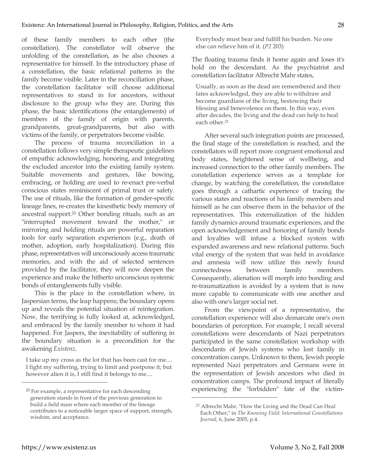of these family members to each other (the constellation). The constellator will observe the unfolding of the constellation, as he also chooses a representative for himself. In the introductory phase of a constellation, the basic relational patterns in the family become visible. Later in the reconciliation phase, the constellation facilitator will choose additional representatives to stand in for ancestors, without disclosure to the group who they are. During this phase, the basic identifications (the entanglements) of members of the family of origin with parents, grandparents, great-grandparents, but also with victims of the family, or perpetrators become visible.

The process of trauma reconciliation in a constellation follows very simple therapeutic guidelines of empathic acknowledging, honoring, and integrating the excluded ancestor into the existing family system. Suitable movements and gestures, like bowing, embracing, or holding are used to re-enact pre-verbal conscious states reminiscent of primal trust or safety. The use of rituals, like the formation of gender-specific lineage lines, re-creates the kinesthetic body memory of ancestral support.20 Other bonding rituals, such as an "interrupted movement toward the mother," or mirroring and holding rituals are powerful reparation tools for early separation experiences (e.g., death of mother, adoption, early hospitalization). During this phase, representatives will unconsciously access traumatic memories, and with the aid of selected sentences provided by the facilitator, they will now deepen the experience and make the hitherto unconscious systemic bonds of entanglements fully visible.

This is the place in the constellation where, in Jaspersian terms, the leap happens; the boundary opens up and reveals the potential situation of reintegration. Now, the terrifying is fully looked at, acknowledged, and embraced by the family member to whom it had happened. For Jaspers, the inevitability of suffering in the boundary situation is a precondition for the awakening *Existenz*.

I take up my cross as the lot that has been cast for me.... I fight my suffering, trying to limit and postpone it; but however alien it is, I still find it belongs to me....

Everybody must bear and fulfill his burden. No one else can relieve him of it. (*P2* 203)

The floating trauma finds it home again and loses it's hold on the descendant. As the psychiatrist and constellation facilitator Albrecht Mahr states,

Usually, as soon as the dead are remembered and their fates acknowledged, they are able to withdraw and become guardians of the living, bestowing their blessing and benevolence on them. In this way, even after decades, the living and the dead can help to heal each other.21

After several such integration points are processed, the final stage of the constellation is reached, and the constellators will report more congruent emotional and body states, heightened sense of wellbeing, and increased connection to the other family members. The constellation experience serves as a template for change, by watching the constellation, the constellator goes through a cathartic experience of tracing the various states and reactions of his family members and himself as he can observe them in the behavior of the representatives. This externalization of the hidden family dynamics around traumatic experiences, and the open acknowledgement and honoring of family bonds and loyalties will infuse a blocked system with expanded awareness and new relational patterns. Such vital energy of the system that was held in avoidance and amnesia will now utilize this newly found connectedness between family members. Consequently, alienation will morph into bonding and re-traumatization is avoided by a system that is now more capable to communicate with one another and also with one's larger social net.

From the viewpoint of a representative, the constellation experience will also demarcate one's own boundaries of perception. For example, I recall several constellations were descendants of Nazi perpetrators participated in the same constellation workshop with descendants of Jewish systems who lost family in concentration camps. Unknown to them, Jewish people represented Nazi perpetrators and Germans were in the representation of Jewish ancestors who died in concentration camps. The profound impact of literally experiencing the "forbidden" fate of the victim-

 $\overline{a}$ 

**.** 

<sup>20</sup> For example, a representative for each descending generation stands in front of the previous generation to build a field mass where each member of the lineage contributes to a noticeable larger space of support, strength, wisdom, and acceptance.

<sup>21</sup> Albrecht Mahr, "How the Living and the Dead Can Heal Each Other," in *The Knowing Field: International Constellations Journal*, 6, June 2005, p.4.